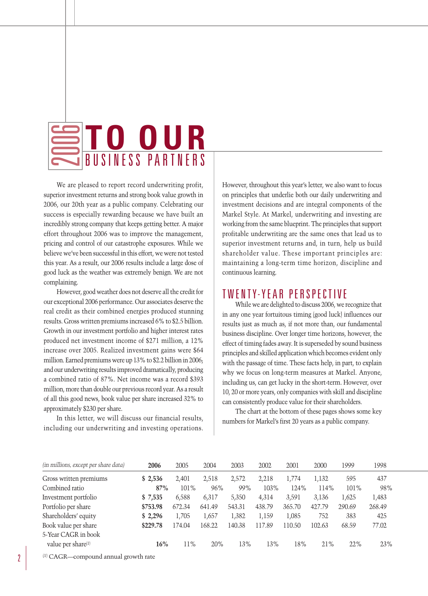#### **TO OUR** 2 BUSINESS PARTNERS  $\qquad \qquad \qquad$ 20

We are pleased to report record underwriting profit, superior investment returns and strong book value growth in 2006, our 20th year as a public company. Celebrating our success is especially rewarding because we have built an incredibly strong company that keeps getting better. A major effort throughout 2006 was to improve the management, pricing and control of our catastrophe exposures. While we believe we've been successful in this effort, we were not tested this year. As a result, our 2006 results include a large dose of good luck as the weather was extremely benign. We are not complaining.

However, good weather does not deserve all the credit for our exceptional 2006 performance. Our associates deserve the real credit as their combined energies produced stunning results. Gross written premiums increased 6% to \$2.5 billion. Growth in our investment portfolio and higher interest rates produced net investment income of \$271 million, a 12% increase over 2005. Realized investment gains were \$64 million. Earned premiums were up 13% to \$2.2 billion in 2006; and our underwriting results improved dramatically, producing a combined ratio of 87%. Net income was a record \$393 million, more than double our previous record year. As a result of all this good news, book value per share increased 32% to approximately \$230 per share.

In this letter, we will discuss our financial results, including our underwriting and investing operations.

However, throughout this year's letter, we also want to focus on principles that underlie both our daily underwriting and investment decisions and are integral components of the Markel Style. At Markel, underwriting and investing are working from the same blueprint. The principles that support profitable underwriting are the same ones that lead us to superior investment returns and, in turn, help us build shareholder value. These important principles are: maintaining a long-term time horizon, discipline and continuous learning.

# TWENTY-YEAR PERSPECTIVE

While we are delighted to discuss 2006, we recognize that in any one year fortuitous timing (good luck) influences our results just as much as, if not more than, our fundamental business discipline. Over longer time horizons, however, the effect of timing fades away. It is superseded by sound business principles and skilled application which becomes evident only with the passage of time. These facts help, in part, to explain why we focus on long-term measures at Markel. Anyone, including us, can get lucky in the short-term. However, over 10, 20 or more years, only companies with skill and discipline can consistently produce value for their shareholders.

The chart at the bottom of these pages shows some key numbers for Markel's first 20 years as a public company.

| 2006     | 2005    | 2004   | 2003   | 2002   | 2001   | 2000   | 1999    | 1998   |
|----------|---------|--------|--------|--------|--------|--------|---------|--------|
| \$2,536  | 2,401   | 2.518  | 2,572  | 2,218  | 1.774  | 1,132  | 595     | 437    |
| 87%      | $101\%$ | 96%    | 99%    | 103%   | 124%   | 114%   | $101\%$ | 98%    |
| \$7,535  | 6,588   | 6.317  | 5.350  | 4.314  | 3.591  | 3.136  | 1,625   | 1,483  |
| \$753.98 | 672.34  | 641.49 | 543.31 | 438.79 | 365.70 | 427.79 | 290.69  | 268.49 |
| \$2,296  | 1,705   | 1,657  | 1,382  | 1,159  | 1,085  | 752    | 383     | 425    |
| \$229.78 | 174.04  | 168.22 | 140.38 | 117.89 | 110.50 | 102.63 | 68.59   | 77.02  |
|          |         |        |        |        |        |        |         |        |
| 16%      | 11%     | 20%    | 13%    | 13%    | 18%    | 21%    | 22%     | 23%    |
|          |         |        |        |        |        |        |         |        |

(1) CAGR—compound annual growth rate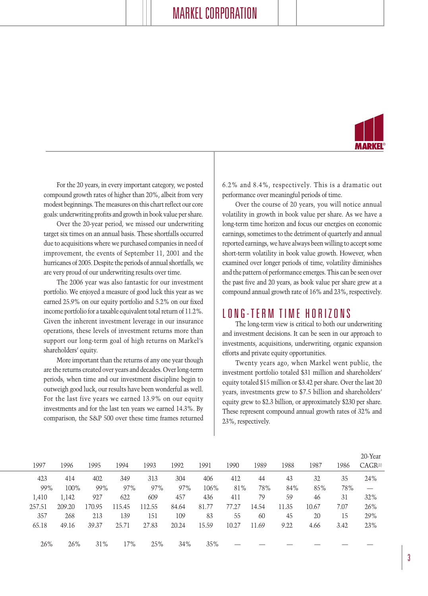

For the 20 years, in every important category, we posted compound growth rates of higher than 20%, albeit from very modest beginnings. The measures on this chart reflect our core goals: underwriting profits and growth in book value per share.

Over the 20-year period, we missed our underwriting target six times on an annual basis. These shortfalls occurred due to acquisitions where we purchased companies in need of improvement, the events of September 11, 2001 and the hurricanes of 2005. Despite the periods of annual shortfalls, we are very proud of our underwriting results over time.

The 2006 year was also fantastic for our investment portfolio. We enjoyed a measure of good luck this year as we earned 25.9% on our equity portfolio and 5.2% on our fixed income portfolio for a taxable equivalent total return of 11.2%. Given the inherent investment leverage in our insurance operations, these levels of investment returns more than support our long-term goal of high returns on Markel's shareholders' equity.

More important than the returns of any one year though are the returns created over years and decades. Over long-term periods, when time and our investment discipline begin to outweigh good luck, our results have been wonderful as well. For the last five years we earned 13.9% on our equity investments and for the last ten years we earned 14.3%. By comparison, the S&P 500 over these time frames returned 6.2% and 8.4%, respectively. This is a dramatic out performance over meaningful periods of time.

Over the course of 20 years, you will notice annual volatility in growth in book value per share. As we have a long-term time horizon and focus our energies on economic earnings, sometimes to the detriment of quarterly and annual reported earnings, we have always been willing to accept some short-term volatility in book value growth. However, when examined over longer periods of time, volatility diminishes and the pattern of performance emerges. This can be seen over the past five and 20 years, as book value per share grew at a compound annual growth rate of 16% and 23%, respectively.

## LONG-TERM TIME HORIZONS

The long-term view is critical to both our underwriting and investment decisions. It can be seen in our approach to investments, acquisitions, underwriting, organic expansion efforts and private equity opportunities.

Twenty years ago, when Markel went public, the investment portfolio totaled \$31 million and shareholders' equity totaled \$15 million or \$3.42 per share. Over the last 20 years, investments grew to \$7.5 billion and shareholders' equity grew to \$2.3 billion, or approximately \$230 per share. These represent compound annual growth rates of 32% and 23%, respectively.

|        |        |        |        |        |       |       |       |       |       |       |      | 20-Year                         |
|--------|--------|--------|--------|--------|-------|-------|-------|-------|-------|-------|------|---------------------------------|
| 1997   | 1996   | 1995   | 1994   | 1993   | 1992  | 1991  | 1990  | 1989  | 1988  | 1987  | 1986 | $CAGR^{(1)}$                    |
| 423    | 414    | 402    | 349    | 313    | 304   | 406   | 412   | 44    | 43    | 32    | 35   | 24%                             |
| 99%    | 100%   | 99%    | 97%    | 97%    | 97%   | 106%  | 81%   | 78%   | 84%   | 85%   | 78%  | $\hspace{0.1mm}-\hspace{0.1mm}$ |
| 1,410  | 1,142  | 927    | 622    | 609    | 457   | 436   | 411   | 79    | 59    | 46    | 31   | 32%                             |
| 257.51 | 209.20 | 170.95 | 115.45 | 112.55 | 84.64 | 81.77 | 77.27 | 14.54 | 11.35 | 10.67 | 7.07 | 26%                             |
| 357    | 268    | 213    | 139    | 151    | 109   | 83    | 55    | 60    | 45    | 20    | 15   | 29%                             |
| 65.18  | 49.16  | 39.37  | 25.71  | 27.83  | 20.24 | 15.59 | 10.27 | 11.69 | 9.22  | 4.66  | 3.42 | 23%                             |
|        |        |        |        |        |       |       |       |       |       |       |      |                                 |
| 26%    | 26%    | 31%    | 17%    | 25%    | 34%   | 35%   |       |       |       |       |      |                                 |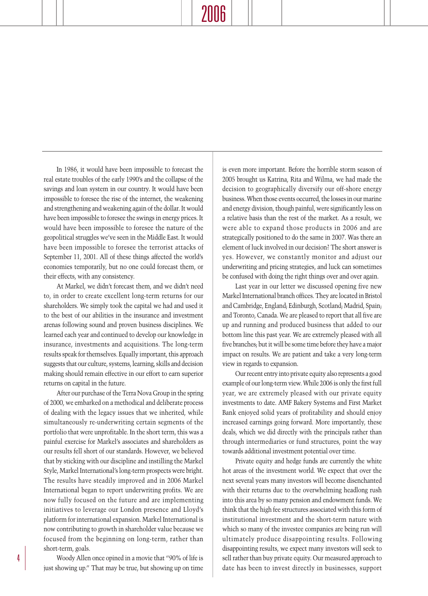In 1986, it would have been impossible to forecast the real estate troubles of the early 1990's and the collapse of the savings and loan system in our country. It would have been impossible to foresee the rise of the internet, the weakening and strengthening and weakening again of the dollar. It would have been impossible to foresee the swings in energy prices. It would have been impossible to foresee the nature of the geopolitical struggles we've seen in the Middle East. It would have been impossible to foresee the terrorist attacks of September 11, 2001. All of these things affected the world's economies temporarily, but no one could forecast them, or their effects, with any consistency.

At Markel, we didn't forecast them, and we didn't need to, in order to create excellent long-term returns for our shareholders. We simply took the capital we had and used it to the best of our abilities in the insurance and investment arenas following sound and proven business disciplines. We learned each year and continued to develop our knowledge in insurance, investments and acquisitions. The long-term results speak for themselves. Equally important, this approach suggests that our culture, systems, learning, skills and decision making should remain effective in our effort to earn superior returns on capital in the future.

After our purchase of the Terra Nova Group in the spring of 2000, we embarked on a methodical and deliberate process of dealing with the legacy issues that we inherited, while simultaneously re-underwriting certain segments of the portfolio that were unprofitable. In the short term, this was a painful exercise for Markel's associates and shareholders as our results fell short of our standards. However, we believed that by sticking with our discipline and instilling the Markel Style, Markel International's long-term prospects were bright. The results have steadily improved and in 2006 Markel International began to report underwriting profits. We are now fully focused on the future and are implementing initiatives to leverage our London presence and Lloyd's platform for international expansion. Markel International is now contributing to growth in shareholder value because we focused from the beginning on long-term, rather than short-term, goals.

Woody Allen once opined in a movie that "90% of life is just showing up." That may be true, but showing up on time is even more important. Before the horrible storm season of 2005 brought us Katrina, Rita and Wilma, we had made the decision to geographically diversify our off-shore energy business. When those events occurred, the losses in our marine and energy division, though painful, were significantly less on a relative basis than the rest of the market. As a result, we were able to expand those products in 2006 and are strategically positioned to do the same in 2007. Was there an element of luck involved in our decision? The short answer is yes. However, we constantly monitor and adjust our underwriting and pricing strategies, and luck can sometimes be confused with doing the right things over and over again.

Last year in our letter we discussed opening five new Markel International branch offices. They are located in Bristol and Cambridge, England; Edinburgh, Scotland; Madrid, Spain; and Toronto, Canada. We are pleased to report that all five are up and running and produced business that added to our bottom line this past year. We are extremely pleased with all five branches; but it will be some time before they have a major impact on results. We are patient and take a very long-term view in regards to expansion.

Our recent entry into private equity also represents a good example of our long-term view. While 2006 is only the first full year, we are extremely pleased with our private equity investments to date. AMF Bakery Systems and First Market Bank enjoyed solid years of profitability and should enjoy increased earnings going forward. More importantly, these deals, which we did directly with the principals rather than through intermediaries or fund structures, point the way towards additional investment potential over time.

Private equity and hedge funds are currently the white hot areas of the investment world. We expect that over the next several years many investors will become disenchanted with their returns due to the overwhelming headlong rush into this area by so many pension and endowment funds. We think that the high fee structures associated with this form of institutional investment and the short-term nature with which so many of the investee companies are being run will ultimately produce disappointing results. Following disappointing results, we expect many investors will seek to sell rather than buy private equity. Our measured approach to date has been to invest directly in businesses, support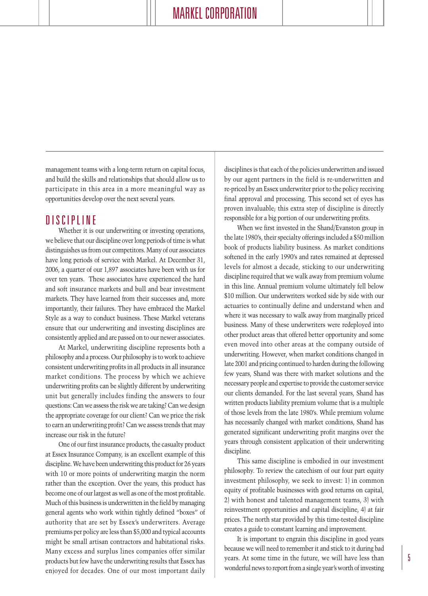management teams with a long-term return on capital focus, and build the skills and relationships that should allow us to participate in this area in a more meaningful way as opportunities develop over the next several years.

# DISCIPLINE

Whether it is our underwriting or investing operations, we believe that our discipline over long periods of time is what distinguishes us from our competitors. Many of our associates have long periods of service with Markel. At December 31, 2006, a quarter of our 1,897 associates have been with us for over ten years. These associates have experienced the hard and soft insurance markets and bull and bear investment markets. They have learned from their successes and, more importantly, their failures. They have embraced the Markel Style as a way to conduct business. These Markel veterans ensure that our underwriting and investing disciplines are consistently applied and are passed on to our newer associates.

At Markel, underwriting discipline represents both a philosophy and a process. Our philosophy is to work to achieve consistent underwriting profits in all products in all insurance market conditions. The process by which we achieve underwriting profits can be slightly different by underwriting unit but generally includes finding the answers to four questions: Can we assess the risk we are taking? Can we design the appropriate coverage for our client? Can we price the risk to earn an underwriting profit? Can we assess trends that may increase our risk in the future?

One of our first insurance products, the casualty product at Essex Insurance Company, is an excellent example of this discipline. We have been underwriting this product for 26 years with 10 or more points of underwriting margin the norm rather than the exception. Over the years, this product has become one of our largest as well as one of the most profitable. Much of this business is underwritten in the field by managing general agents who work within tightly defined "boxes" of authority that are set by Essex's underwriters. Average premiums per policy are less than \$5,000 and typical accounts might be small artisan contractors and habitational risks. Many excess and surplus lines companies offer similar products but few have the underwriting results that Essex has enjoyed for decades. One of our most important daily

disciplines is that each of the policies underwritten and issued by our agent partners in the field is re-underwritten and re-priced by an Essex underwriter prior to the policy receiving final approval and processing. This second set of eyes has proven invaluable; this extra step of discipline is directly responsible for a big portion of our underwriting profits.

When we first invested in the Shand/Evanston group in the late 1980's, their specialty offerings included a \$50 million book of products liability business. As market conditions softened in the early 1990's and rates remained at depressed levels for almost a decade, sticking to our underwriting discipline required that we walk away from premium volume in this line. Annual premium volume ultimately fell below \$10 million. Our underwriters worked side by side with our actuaries to continually define and understand when and where it was necessary to walk away from marginally priced business. Many of these underwriters were redeployed into other product areas that offered better opportunity and some even moved into other areas at the company outside of underwriting. However, when market conditions changed in late 2001 and pricing continued to harden during the following few years, Shand was there with market solutions and the necessary people and expertise to provide the customer service our clients demanded. For the last several years, Shand has written products liability premium volume that is a multiple of those levels from the late 1980's. While premium volume has necessarily changed with market conditions, Shand has generated significant underwriting profit margins over the years through consistent application of their underwriting discipline.

This same discipline is embodied in our investment philosophy. To review the catechism of our four part equity investment philosophy, we seek to invest: 1) in common equity of profitable businesses with good returns on capital, 2) with honest and talented management teams, 3) with reinvestment opportunities and capital discipline, 4) at fair prices. The north star provided by this time-tested discipline creates a guide to constant learning and improvement.

It is important to engrain this discipline in good years because we will need to remember it and stick to it during bad years. At some time in the future, we will have less than wonderful news to report from a single year's worth of investing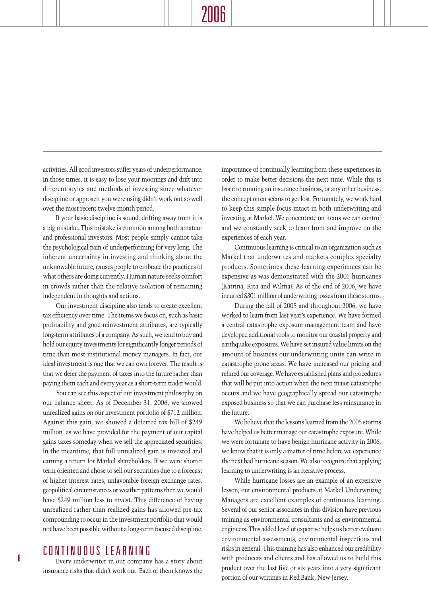activities. All good investors suffer years of underperformance. In those times, it is easy to lose your moorings and drift into different styles and methods of investing since whatever discipline or approach you were using didn't work out so well over the most recent twelve-month period.

If your basic discipline is sound, drifting away from it is a big mistake. This mistake is common among both amateur and professional investors. Most people simply cannot take the psychological pain of underperforming for very long. The inherent uncertainty in investing and thinking about the unknowable future, causes people to embrace the practices of what others are doing currently. Human nature seeks comfort in crowds rather than the relative isolation of remaining independent in thoughts and actions.

Our investment discipline also tends to create excellent tax efficiency over time. The items we focus on, such as basic profitability and good reinvestment attributes, are typically long-term attributes of a company. As such, we tend to buy and hold our equity investments for significantly longer periods of time than most institutional money managers. In fact, our ideal investment is one that we can own forever. The result is that we defer the payment of taxes into the future rather than paying them each and every year as a short-term trader would.

You can see this aspect of our investment philosophy on our balance sheet. As of December 31, 2006, we showed unrealized gains on our investment portfolio of \$712 million. Against this gain, we showed a deferred tax bill of \$249 million, as we have provided for the payment of our capital gains taxes someday when we sell the appreciated securities. In the meantime, that full unrealized gain is invested and earning a return for Markel shareholders. If we were shorter term oriented and chose to sell our securities due to a forecast of higher interest rates, unfavorable foreign exchange rates, geopolitical circumstances or weather patterns then we would have \$249 million less to invest. This difference of having unrealized rather than realized gains has allowed pre-tax compounding to occur in the investment portfolio that would not have been possible without a long-term focused discipline.

## CONTINUOUS LEARNING

Every underwriter in our company has a story about insurance risks that didn't work out. Each of them knows the importance of continually learning from these experiences in order to make better decisions the next time. While this is basic to running an insurance business, or any other business, the concept often seems to get lost. Fortunately, we work hard to keep this simple focus intact in both underwriting and investing at Markel. We concentrate on items we can control and we constantly seek to learn from and improve on the experiences of each year.

Continuous learning is critical to an organization such as Markel that underwrites and markets complex specialty products. Sometimes these learning experiences can be expensive as was demonstrated with the 2005 hurricanes (Katrina, Rita and Wilma). As of the end of 2006, we have incurred \$301 million of underwriting losses from these storms.

During the fall of 2005 and throughout 2006, we have worked to learn from last year's experience. We have formed a central catastrophe exposure management team and have developed additional tools to monitor our coastal property and earthquake exposures. We have set insured value limits on the amount of business our underwriting units can write in catastrophe prone areas. We have increased our pricing and refined our coverage. We have established plans and procedures that will be put into action when the next major catastrophe occurs and we have geographically spread our catastrophe exposed business so that we can purchase less reinsurance in the future.

We believe that the lessons learned from the 2005 storms have helped us better manage our catastrophe exposure. While we were fortunate to have benign hurricane activity in 2006, we know that it is only a matter of time before we experience the next bad hurricane season. We also recognize that applying learning to underwriting is an iterative process.

While hurricane losses are an example of an expensive lesson, our environmental products at Markel Underwriting Managers are excellent examples of continuous learning. Several of our senior associates in this division have previous training as environmental consultants and as environmental engineers. This added level of expertise helps us better evaluate environmental assessments, environmental inspections and risks in general. This training has also enhanced our credibility with producers and clients and has allowed us to build this product over the last five or six years into a very significant portion of our writings in Red Bank, New Jersey.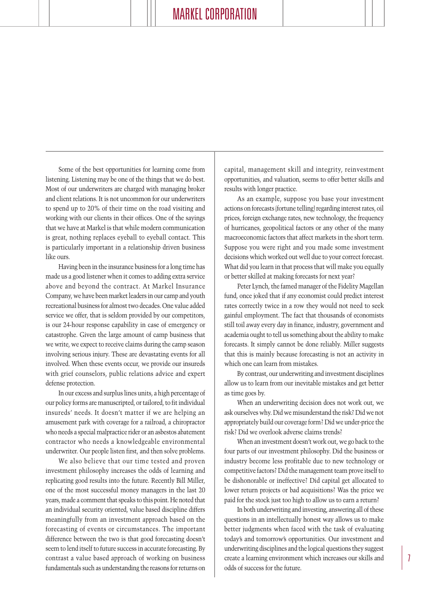Some of the best opportunities for learning come from listening. Listening may be one of the things that we do best. Most of our underwriters are charged with managing broker and client relations. It is not uncommon for our underwriters to spend up to 20% of their time on the road visiting and working with our clients in their offices. One of the sayings that we have at Markel is that while modern communication is great, nothing replaces eyeball to eyeball contact. This is particularly important in a relationship driven business like ours.

Having been in the insurance business for a long time has made us a good listener when it comes to adding extra service above and beyond the contract. At Markel Insurance Company, we have been market leaders in our camp and youth recreational business for almost two decades. One value added service we offer, that is seldom provided by our competitors, is our 24-hour response capability in case of emergency or catastrophe. Given the large amount of camp business that we write, we expect to receive claims during the camp season involving serious injury. These are devastating events for all involved. When these events occur, we provide our insureds with grief counselors, public relations advice and expert defense protection.

In our excess and surplus lines units, a high percentage of our policy forms are manuscripted, or tailored, to fit individual insureds' needs. It doesn't matter if we are helping an amusement park with coverage for a railroad, a chiropractor who needs a special malpractice rider or an asbestos abatement contractor who needs a knowledgeable environmental underwriter. Our people listen first, and then solve problems.

We also believe that our time tested and proven investment philosophy increases the odds of learning and replicating good results into the future. Recently Bill Miller, one of the most successful money managers in the last 20 years, made a comment that speaks to this point. He noted that an individual security oriented, value based discipline differs meaningfully from an investment approach based on the forecasting of events or circumstances. The important difference between the two is that good forecasting doesn't seem to lend itself to future success in accurate forecasting. By contrast a value based approach of working on business fundamentals such as understanding the reasons for returns on

capital, management skill and integrity, reinvestment opportunities, and valuation, seems to offer better skills and results with longer practice.

As an example, suppose you base your investment actions on forecasts (fortune telling) regarding interest rates, oil prices, foreign exchange rates, new technology, the frequency of hurricanes, geopolitical factors or any other of the many macroeconomic factors that affect markets in the short term. Suppose you were right and you made some investment decisions which worked out well due to your correct forecast. What did you learn in that process that will make you equally or better skilled at making forecasts for next year?

Peter Lynch, the famed manager of the Fidelity Magellan fund, once joked that if any economist could predict interest rates correctly twice in a row they would not need to seek gainful employment. The fact that thousands of economists still toil away every day in finance, industry, government and academia ought to tell us something about the ability to make forecasts. It simply cannot be done reliably. Miller suggests that this is mainly because forecasting is not an activity in which one can learn from mistakes.

By contrast, our underwriting and investment disciplines allow us to learn from our inevitable mistakes and get better as time goes by.

When an underwriting decision does not work out, we ask ourselves why. Did we misunderstand the risk? Did we not appropriately build our coverage form? Did we under-price the risk? Did we overlook adverse claims trends?

When an investment doesn't work out, we go back to the four parts of our investment philosophy. Did the business or industry become less profitable due to new technology or competitive factors? Did the management team prove itself to be dishonorable or ineffective? Did capital get allocated to lower return projects or bad acquisitions? Was the price we paid for the stock just too high to allow us to earn a return?

In both underwriting and investing, answering all of these questions in an intellectually honest way allows us to make better judgments when faced with the task of evaluating today's and tomorrow's opportunities. Our investment and underwriting disciplines and the logical questions they suggest create a learning environment which increases our skills and odds of success for the future.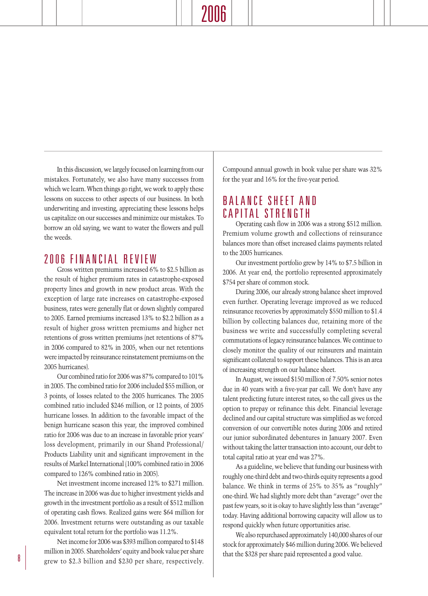# 2006

In this discussion, we largely focused on learning from our mistakes. Fortunately, we also have many successes from which we learn. When things go right, we work to apply these lessons on success to other aspects of our business. In both underwriting and investing, appreciating these lessons helps us capitalize on our successes and minimize our mistakes. To borrow an old saying, we want to water the flowers and pull the weeds.

### 2006 FINANCIAL REVIEW

Gross written premiums increased 6% to \$2.5 billion as the result of higher premium rates in catastrophe-exposed property lines and growth in new product areas. With the exception of large rate increases on catastrophe-exposed business, rates were generally flat or down slightly compared to 2005. Earned premiums increased 13% to \$2.2 billion as a result of higher gross written premiums and higher net retentions of gross written premiums (net retentions of 87% in 2006 compared to 82% in 2005, when our net retentions were impacted by reinsurance reinstatement premiums on the 2005 hurricanes).

Our combined ratio for 2006 was 87% compared to 101% in 2005. The combined ratio for 2006 included \$55 million, or 3 points, of losses related to the 2005 hurricanes. The 2005 combined ratio included \$246 million, or 12 points, of 2005 hurricane losses. In addition to the favorable impact of the benign hurricane season this year, the improved combined ratio for 2006 was due to an increase in favorable prior years' loss development, primarily in our Shand Professional/ Products Liability unit and significant improvement in the results of Markel International (100% combined ratio in 2006 compared to 126% combined ratio in 2005).

Net investment income increased 12% to \$271 million. The increase in 2006 was due to higher investment yields and growth in the investment portfolio as a result of \$512 million of operating cash flows. Realized gains were \$64 million for 2006. Investment returns were outstanding as our taxable equivalent total return for the portfolio was 11.2%.

Net income for 2006 was \$393 million compared to \$148 million in 2005. Shareholders' equity and book value per share  $\frac{8}{\text{green}}$  grew to \$2.3 billion and \$230 per share, respectively. Compound annual growth in book value per share was 32% for the year and 16% for the five-year period.

# BALANCE SHEET AND CAPITAL STRENGTH

Operating cash flow in 2006 was a strong \$512 million. Premium volume growth and collections of reinsurance balances more than offset increased claims payments related to the 2005 hurricanes.

Our investment portfolio grew by 14% to \$7.5 billion in 2006. At year end, the portfolio represented approximately \$754 per share of common stock.

During 2006, our already strong balance sheet improved even further. Operating leverage improved as we reduced reinsurance recoveries by approximately \$550 million to \$1.4 billion by collecting balances due, retaining more of the business we write and successfully completing several commutations of legacy reinsurance balances. We continue to closely monitor the quality of our reinsurers and maintain significant collateral to support these balances. This is an area of increasing strength on our balance sheet.

In August, we issued \$150 million of 7.50% senior notes due in 40 years with a five-year par call. We don't have any talent predicting future interest rates, so the call gives us the option to prepay or refinance this debt. Financial leverage declined and our capital structure was simplified as we forced conversion of our convertible notes during 2006 and retired our junior subordinated debentures in January 2007. Even without taking the latter transaction into account, our debt to total capital ratio at year end was 27%.

As a guideline, we believe that funding our business with roughly one-third debt and two-thirds equity represents a good balance. We think in terms of 25% to 35% as "roughly" one-third. We had slightly more debt than "average" over the past few years, so it is okay to have slightly less than "average" today. Having additional borrowing capacity will allow us to respond quickly when future opportunities arise.

We also repurchased approximately 140,000 shares of our stock for approximately \$46 million during 2006. We believed that the \$328 per share paid represented a good value.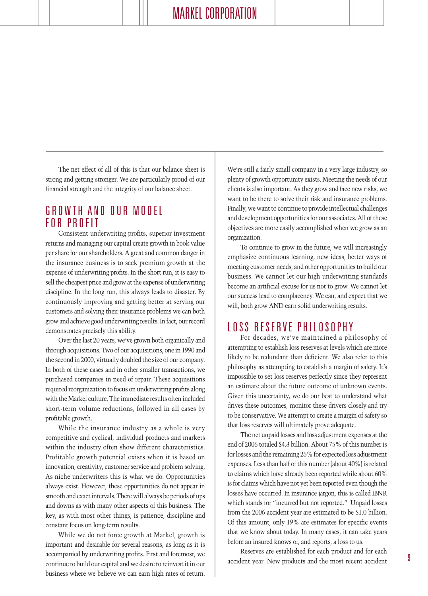The net effect of all of this is that our balance sheet is strong and getting stronger. We are particularly proud of our financial strength and the integrity of our balance sheet.

# GROWTH AND OUR MODEL FOR PROFIT

Consistent underwriting profits, superior investment returns and managing our capital create growth in book value per share for our shareholders. A great and common danger in the insurance business is to seek premium growth at the expense of underwriting profits. In the short run, it is easy to sell the cheapest price and grow at the expense of underwriting discipline. In the long run, this always leads to disaster. By continuously improving and getting better at serving our customers and solving their insurance problems we can both grow and achieve good underwriting results. In fact, our record demonstrates precisely this ability.

Over the last 20 years, we've grown both organically and through acquisitions. Two of our acquisitions, one in 1990 and the second in 2000, virtually doubled the size of our company. In both of these cases and in other smaller transactions, we purchased companies in need of repair. These acquisitions required reorganization to focus on underwriting profits along with the Markel culture. The immediate results often included short-term volume reductions, followed in all cases by profitable growth.

While the insurance industry as a whole is very competitive and cyclical, individual products and markets within the industry often show different characteristics. Profitable growth potential exists when it is based on innovation, creativity, customer service and problem solving. As niche underwriters this is what we do. Opportunities always exist. However, these opportunities do not appear in smooth and exact intervals. There will always be periods of ups and downs as with many other aspects of this business. The key, as with most other things, is patience, discipline and constant focus on long-term results.

While we do not force growth at Markel, growth is important and desirable for several reasons, as long as it is accompanied by underwriting profits. First and foremost, we continue to build our capital and we desire to reinvest it in our business where we believe we can earn high rates of return. We're still a fairly small company in a very large industry, so plenty of growth opportunity exists. Meeting the needs of our clients is also important. As they grow and face new risks, we want to be there to solve their risk and insurance problems. Finally, we want to continue to provide intellectual challenges and development opportunities for our associates. All of these objectives are more easily accomplished when we grow as an organization.

To continue to grow in the future, we will increasingly emphasize continuous learning, new ideas, better ways of meeting customer needs, and other opportunities to build our business. We cannot let our high underwriting standards become an artificial excuse for us not to grow. We cannot let our success lead to complacency. We can, and expect that we will, both grow AND earn solid underwriting results.

## LOSS RESERVE PHILOSOPHY

For decades, we've maintained a philosophy of attempting to establish loss reserves at levels which are more likely to be redundant than deficient. We also refer to this philosophy as attempting to establish a margin of safety. It's impossible to set loss reserves perfectly since they represent an estimate about the future outcome of unknown events. Given this uncertainty, we do our best to understand what drives these outcomes, monitor these drivers closely and try to be conservative. We attempt to create a margin of safety so that loss reserves will ultimately prove adequate.

The net unpaid losses and loss adjustment expenses at the end of 2006 totaled \$4.3 billion. About 75% of this number is for losses and the remaining 25% for expected loss adjustment expenses. Less than half of this number (about 40%) is related to claims which have already been reported while about 60% is for claims which have not yet been reported even though the losses have occurred. In insurance jargon, this is called IBNR which stands for "incurred but not reported." Unpaid losses from the 2006 accident year are estimated to be \$1.0 billion. Of this amount, only 19% are estimates for specific events that we know about today. In many cases, it can take years before an insured knows of, and reports, a loss to us.

Reserves are established for each product and for each accident year. New products and the most recent accident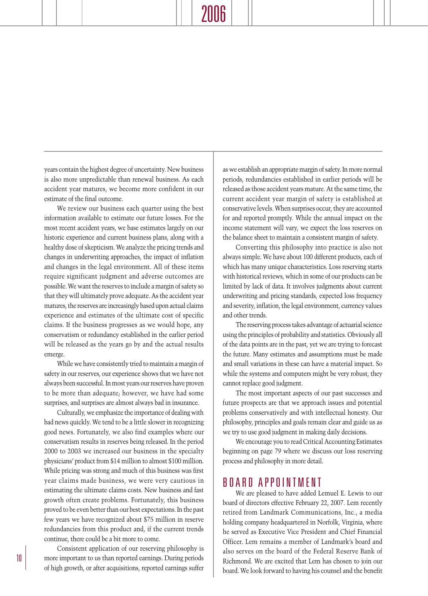# 2006

years contain the highest degree of uncertainty. New business is also more unpredictable than renewal business. As each accident year matures, we become more confident in our estimate of the final outcome.

We review our business each quarter using the best information available to estimate our future losses. For the most recent accident years, we base estimates largely on our historic experience and current business plans, along with a healthy dose of skepticism. We analyze the pricing trends and changes in underwriting approaches, the impact of inflation and changes in the legal environment. All of these items require significant judgment and adverse outcomes are possible. We want the reserves to include a margin of safety so that they will ultimately prove adequate. As the accident year matures, the reserves are increasingly based upon actual claims experience and estimates of the ultimate cost of specific claims. If the business progresses as we would hope, any conservatism or redundancy established in the earlier period will be released as the years go by and the actual results emerge.

While we have consistently tried to maintain a margin of safety in our reserves, our experience shows that we have not always been successful. In most years our reserves have proven to be more than adequate; however, we have had some surprises, and surprises are almost always bad in insurance.

Culturally, we emphasize the importance of dealing with bad news quickly. We tend to be a little slower in recognizing good news. Fortunately, we also find examples where our conservatism results in reserves being released. In the period 2000 to 2003 we increased our business in the specialty physicians' product from \$14 million to almost \$100 million. While pricing was strong and much of this business was first year claims made business, we were very cautious in estimating the ultimate claims costs. New business and fast growth often create problems. Fortunately, this business proved to be even better than our best expectations. In the past few years we have recognized about \$75 million in reserve redundancies from this product and, if the current trends continue, there could be a bit more to come.

Consistent application of our reserving philosophy is more important to us than reported earnings. During periods of high growth, or after acquisitions, reported earnings suffer as we establish an appropriate margin of safety. In more normal periods, redundancies established in earlier periods will be released as those accident years mature. At the same time, the current accident year margin of safety is established at conservative levels. When surprises occur, they are accounted for and reported promptly. While the annual impact on the income statement will vary, we expect the loss reserves on the balance sheet to maintain a consistent margin of safety.

Converting this philosophy into practice is also not always simple. We have about 100 different products, each of which has many unique characteristics. Loss reserving starts with historical reviews, which in some of our products can be limited by lack of data. It involves judgments about current underwriting and pricing standards, expected loss frequency and severity, inflation, the legal environment, currency values and other trends.

The reserving process takes advantage of actuarial science using the principles of probability and statistics. Obviously all of the data points are in the past, yet we are trying to forecast the future. Many estimates and assumptions must be made and small variations in these can have a material impact. So while the systems and computers might be very robust, they cannot replace good judgment.

The most important aspects of our past successes and future prospects are that we approach issues and potential problems conservatively and with intellectual honesty. Our philosophy, principles and goals remain clear and guide us as we try to use good judgment in making daily decisions.

We encourage you to read Critical Accounting Estimates beginning on page 79 where we discuss our loss reserving process and philosophy in more detail.

### BOARD APPOINTMENT

We are pleased to have added Lemuel E. Lewis to our board of directors effective February 22, 2007. Lem recently retired from Landmark Communications, Inc., a media holding company headquartered in Norfolk, Virginia, where he served as Executive Vice President and Chief Financial Officer. Lem remains a member of Landmark's board and also serves on the board of the Federal Reserve Bank of Richmond. We are excited that Lem has chosen to join our board. We look forward to having his counsel and the benefit